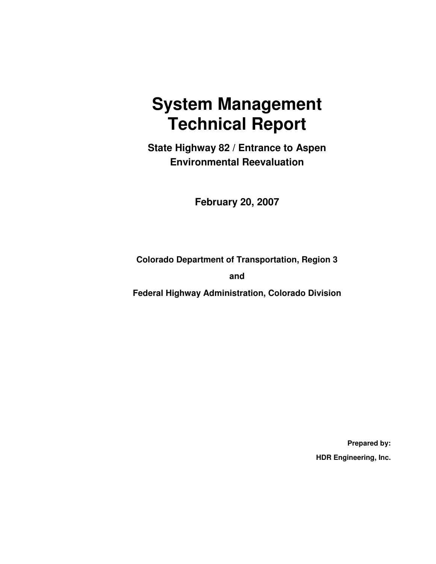# **System Management Technical Report**

**State Highway 82 / Entrance to Aspen Environmental Reevaluation** 

**February 20, 2007** 

**Colorado Department of Transportation, Region 3** 

**and** 

**Federal Highway Administration, Colorado Division** 

**Prepared by: HDR Engineering, Inc.**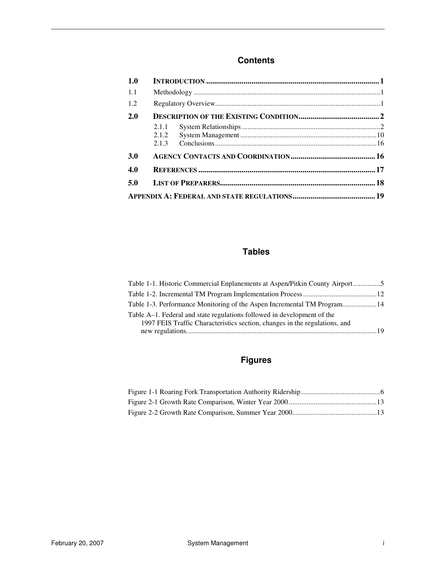#### **Contents**

| 1.0        |       |  |  |
|------------|-------|--|--|
| 1.1        |       |  |  |
| 1.2        |       |  |  |
| 2.0        |       |  |  |
|            | 2.1.1 |  |  |
|            | 2.1.2 |  |  |
|            | 2.1.3 |  |  |
| <b>3.0</b> |       |  |  |
| 4.0        |       |  |  |
| 5.0        |       |  |  |
|            |       |  |  |

#### **Tables**

| Table 1-1. Historic Commercial Enplanements at Aspen/Pitkin County Airport5 |  |
|-----------------------------------------------------------------------------|--|
|                                                                             |  |
| Table 1-3. Performance Monitoring of the Aspen Incremental TM Program 14    |  |
| Table A–1. Federal and state regulations followed in development of the     |  |
| 1997 FEIS Traffic Characteristics section, changes in the regulations, and  |  |
|                                                                             |  |

### **Figures**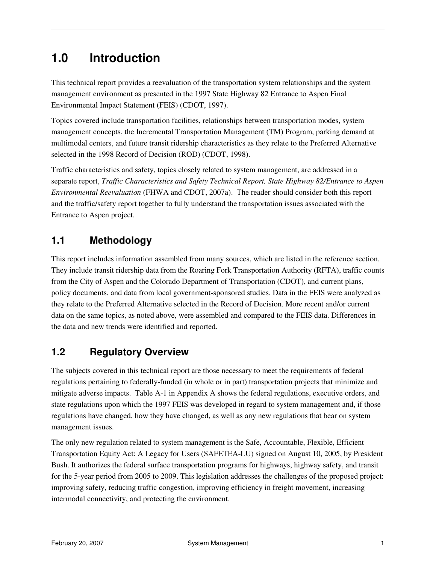# **1.0 Introduction**

This technical report provides a reevaluation of the transportation system relationships and the system management environment as presented in the 1997 State Highway 82 Entrance to Aspen Final Environmental Impact Statement (FEIS) (CDOT, 1997).

Topics covered include transportation facilities, relationships between transportation modes, system management concepts, the Incremental Transportation Management (TM) Program, parking demand at multimodal centers, and future transit ridership characteristics as they relate to the Preferred Alternative selected in the 1998 Record of Decision (ROD) (CDOT, 1998).

Traffic characteristics and safety, topics closely related to system management, are addressed in a separate report, *Traffic Characteristics and Safety Technical Report, State Highway 82/Entrance to Aspen Environmental Reevaluation* (FHWA and CDOT, 2007a). The reader should consider both this report and the traffic/safety report together to fully understand the transportation issues associated with the Entrance to Aspen project.

### **1.1 Methodology**

This report includes information assembled from many sources, which are listed in the reference section. They include transit ridership data from the Roaring Fork Transportation Authority (RFTA), traffic counts from the City of Aspen and the Colorado Department of Transportation (CDOT), and current plans, policy documents, and data from local government-sponsored studies. Data in the FEIS were analyzed as they relate to the Preferred Alternative selected in the Record of Decision. More recent and/or current data on the same topics, as noted above, were assembled and compared to the FEIS data. Differences in the data and new trends were identified and reported.

### **1.2 Regulatory Overview**

The subjects covered in this technical report are those necessary to meet the requirements of federal regulations pertaining to federally-funded (in whole or in part) transportation projects that minimize and mitigate adverse impacts. Table A-1 in Appendix A shows the federal regulations, executive orders, and state regulations upon which the 1997 FEIS was developed in regard to system management and, if those regulations have changed, how they have changed, as well as any new regulations that bear on system management issues.

The only new regulation related to system management is the Safe, Accountable, Flexible, Efficient Transportation Equity Act: A Legacy for Users (SAFETEA-LU) signed on August 10, 2005, by President Bush. It authorizes the federal surface transportation programs for highways, highway safety, and transit for the 5-year period from 2005 to 2009. This legislation addresses the challenges of the proposed project: improving safety, reducing traffic congestion, improving efficiency in freight movement, increasing intermodal connectivity, and protecting the environment.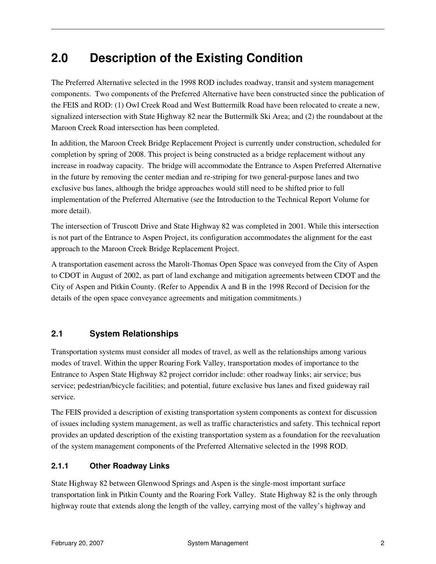# **2.0 Description of the Existing Condition**

The Preferred Alternative selected in the 1998 ROD includes roadway, transit and system management components. Two components of the Preferred Alternative have been constructed since the publication of the FEIS and ROD: (1) Owl Creek Road and West Buttermilk Road have been relocated to create a new, signalized intersection with State Highway 82 near the Buttermilk Ski Area; and (2) the roundabout at the Maroon Creek Road intersection has been completed.

In addition, the Maroon Creek Bridge Replacement Project is currently under construction, scheduled for completion by spring of 2008. This project is being constructed as a bridge replacement without any increase in roadway capacity. The bridge will accommodate the Entrance to Aspen Preferred Alternative in the future by removing the center median and re-striping for two general-purpose lanes and two exclusive bus lanes, although the bridge approaches would still need to be shifted prior to full implementation of the Preferred Alternative (see the Introduction to the Technical Report Volume for more detail).

The intersection of Truscott Drive and State Highway 82 was completed in 2001. While this intersection is not part of the Entrance to Aspen Project, its configuration accommodates the alignment for the east approach to the Maroon Creek Bridge Replacement Project.

A transportation easement across the Marolt-Thomas Open Space was conveyed from the City of Aspen to CDOT in August of 2002, as part of land exchange and mitigation agreements between CDOT and the City of Aspen and Pitkin County. (Refer to Appendix A and B in the 1998 Record of Decision for the details of the open space conveyance agreements and mitigation commitments.)

#### **2.1 System Relationships**

Transportation systems must consider all modes of travel, as well as the relationships among various modes of travel. Within the upper Roaring Fork Valley, transportation modes of importance to the Entrance to Aspen State Highway 82 project corridor include: other roadway links; air service; bus service; pedestrian/bicycle facilities; and potential, future exclusive bus lanes and fixed guideway rail service.

The FEIS provided a description of existing transportation system components as context for discussion of issues including system management, as well as traffic characteristics and safety. This technical report provides an updated description of the existing transportation system as a foundation for the reevaluation of the system management components of the Preferred Alternative selected in the 1998 ROD.

#### **2.1.1 Other Roadway Links**

State Highway 82 between Glenwood Springs and Aspen is the single-most important surface transportation link in Pitkin County and the Roaring Fork Valley. State Highway 82 is the only through highway route that extends along the length of the valley, carrying most of the valley's highway and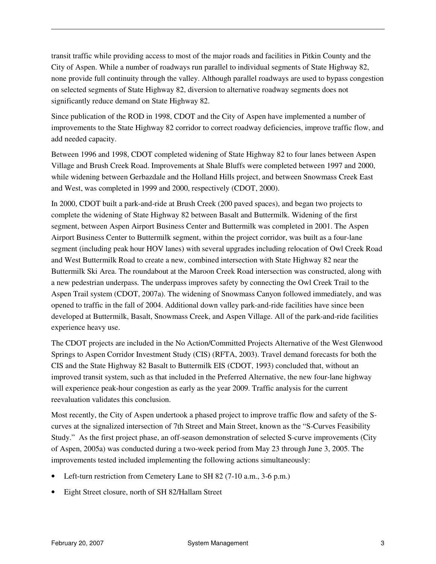transit traffic while providing access to most of the major roads and facilities in Pitkin County and the City of Aspen. While a number of roadways run parallel to individual segments of State Highway 82, none provide full continuity through the valley. Although parallel roadways are used to bypass congestion on selected segments of State Highway 82, diversion to alternative roadway segments does not significantly reduce demand on State Highway 82.

Since publication of the ROD in 1998, CDOT and the City of Aspen have implemented a number of improvements to the State Highway 82 corridor to correct roadway deficiencies, improve traffic flow, and add needed capacity.

Between 1996 and 1998, CDOT completed widening of State Highway 82 to four lanes between Aspen Village and Brush Creek Road. Improvements at Shale Bluffs were completed between 1997 and 2000, while widening between Gerbazdale and the Holland Hills project, and between Snowmass Creek East and West, was completed in 1999 and 2000, respectively (CDOT, 2000).

In 2000, CDOT built a park-and-ride at Brush Creek (200 paved spaces), and began two projects to complete the widening of State Highway 82 between Basalt and Buttermilk. Widening of the first segment, between Aspen Airport Business Center and Buttermilk was completed in 2001. The Aspen Airport Business Center to Buttermilk segment, within the project corridor, was built as a four-lane segment (including peak hour HOV lanes) with several upgrades including relocation of Owl Creek Road and West Buttermilk Road to create a new, combined intersection with State Highway 82 near the Buttermilk Ski Area. The roundabout at the Maroon Creek Road intersection was constructed, along with a new pedestrian underpass. The underpass improves safety by connecting the Owl Creek Trail to the Aspen Trail system (CDOT, 2007a). The widening of Snowmass Canyon followed immediately, and was opened to traffic in the fall of 2004. Additional down valley park-and-ride facilities have since been developed at Buttermilk, Basalt, Snowmass Creek, and Aspen Village. All of the park-and-ride facilities experience heavy use.

The CDOT projects are included in the No Action/Committed Projects Alternative of the West Glenwood Springs to Aspen Corridor Investment Study (CIS) (RFTA, 2003). Travel demand forecasts for both the CIS and the State Highway 82 Basalt to Buttermilk EIS (CDOT, 1993) concluded that, without an improved transit system, such as that included in the Preferred Alternative, the new four-lane highway will experience peak-hour congestion as early as the year 2009. Traffic analysis for the current reevaluation validates this conclusion.

Most recently, the City of Aspen undertook a phased project to improve traffic flow and safety of the Scurves at the signalized intersection of 7th Street and Main Street, known as the "S-Curves Feasibility Study." As the first project phase, an off-season demonstration of selected S-curve improvements (City of Aspen, 2005a) was conducted during a two-week period from May 23 through June 3, 2005. The improvements tested included implementing the following actions simultaneously:

- Left-turn restriction from Cemetery Lane to SH 82 (7-10 a.m., 3-6 p.m.)
- Eight Street closure, north of SH 82/Hallam Street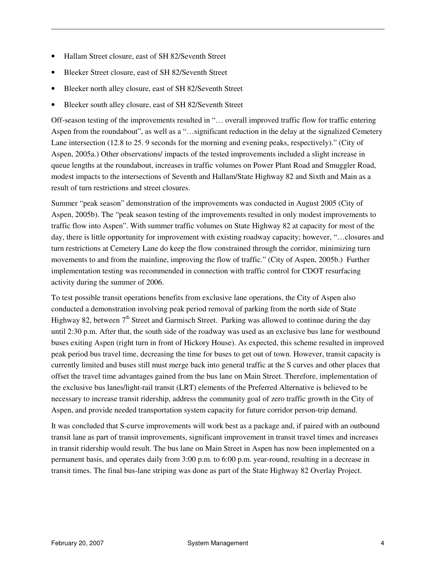- Hallam Street closure, east of SH 82/Seventh Street
- Bleeker Street closure, east of SH 82/Seventh Street
- Bleeker north alley closure, east of SH 82/Seventh Street
- Bleeker south alley closure, east of SH 82/Seventh Street

Off-season testing of the improvements resulted in "… overall improved traffic flow for traffic entering Aspen from the roundabout", as well as a "…significant reduction in the delay at the signalized Cemetery Lane intersection (12.8 to 25. 9 seconds for the morning and evening peaks, respectively)." (City of Aspen, 2005a.) Other observations/ impacts of the tested improvements included a slight increase in queue lengths at the roundabout, increases in traffic volumes on Power Plant Road and Smuggler Road, modest impacts to the intersections of Seventh and Hallam/State Highway 82 and Sixth and Main as a result of turn restrictions and street closures.

Summer "peak season" demonstration of the improvements was conducted in August 2005 (City of Aspen, 2005b). The "peak season testing of the improvements resulted in only modest improvements to traffic flow into Aspen". With summer traffic volumes on State Highway 82 at capacity for most of the day, there is little opportunity for improvement with existing roadway capacity; however, "…closures and turn restrictions at Cemetery Lane do keep the flow constrained through the corridor, minimizing turn movements to and from the mainline, improving the flow of traffic." (City of Aspen, 2005b.) Further implementation testing was recommended in connection with traffic control for CDOT resurfacing activity during the summer of 2006.

To test possible transit operations benefits from exclusive lane operations, the City of Aspen also conducted a demonstration involving peak period removal of parking from the north side of State Highway 82, between  $7<sup>th</sup>$  Street and Garmisch Street. Parking was allowed to continue during the day until 2:30 p.m. After that, the south side of the roadway was used as an exclusive bus lane for westbound buses exiting Aspen (right turn in front of Hickory House). As expected, this scheme resulted in improved peak period bus travel time, decreasing the time for buses to get out of town. However, transit capacity is currently limited and buses still must merge back into general traffic at the S curves and other places that offset the travel time advantages gained from the bus lane on Main Street. Therefore, implementation of the exclusive bus lanes/light-rail transit (LRT) elements of the Preferred Alternative is believed to be necessary to increase transit ridership, address the community goal of zero traffic growth in the City of Aspen, and provide needed transportation system capacity for future corridor person-trip demand.

It was concluded that S-curve improvements will work best as a package and, if paired with an outbound transit lane as part of transit improvements, significant improvement in transit travel times and increases in transit ridership would result. The bus lane on Main Street in Aspen has now been implemented on a permanent basis, and operates daily from 3:00 p.m. to 6:00 p.m. year-round, resulting in a decrease in transit times. The final bus-lane striping was done as part of the State Highway 82 Overlay Project.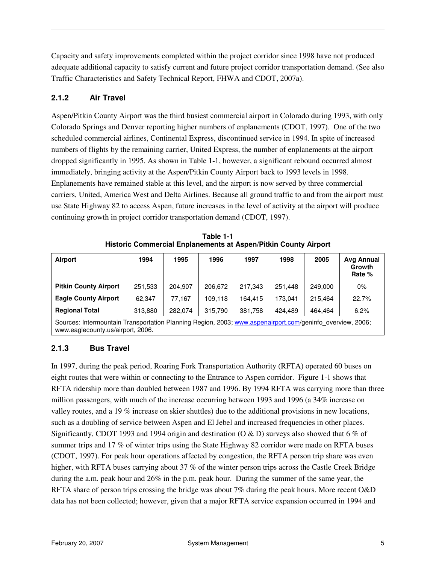Capacity and safety improvements completed within the project corridor since 1998 have not produced adequate additional capacity to satisfy current and future project corridor transportation demand. (See also Traffic Characteristics and Safety Technical Report, FHWA and CDOT, 2007a).

#### **2.1.2 Air Travel**

Aspen/Pitkin County Airport was the third busiest commercial airport in Colorado during 1993, with only Colorado Springs and Denver reporting higher numbers of enplanements (CDOT, 1997). One of the two scheduled commercial airlines, Continental Express, discontinued service in 1994. In spite of increased numbers of flights by the remaining carrier, United Express, the number of enplanements at the airport dropped significantly in 1995. As shown in Table 1-1, however, a significant rebound occurred almost immediately, bringing activity at the Aspen/Pitkin County Airport back to 1993 levels in 1998. Enplanements have remained stable at this level, and the airport is now served by three commercial carriers, United, America West and Delta Airlines. Because all ground traffic to and from the airport must use State Highway 82 to access Aspen, future increases in the level of activity at the airport will produce continuing growth in project corridor transportation demand (CDOT, 1997).

| <b>Airport</b>                                                                                          | 1994    | 1995    | 1996    | 1997    | 1998    | 2005    | <b>Avg Annual</b><br>Growth<br>Rate % |
|---------------------------------------------------------------------------------------------------------|---------|---------|---------|---------|---------|---------|---------------------------------------|
| <b>Pitkin County Airport</b>                                                                            | 251,533 | 204,907 | 206,672 | 217,343 | 251.448 | 249.000 | $0\%$                                 |
| <b>Eagle County Airport</b>                                                                             | 62.347  | 77.167  | 109.118 | 164.415 | 173.041 | 215.464 | 22.7%                                 |
| <b>Regional Total</b>                                                                                   | 313,880 | 282.074 | 315,790 | 381,758 | 424.489 | 464.464 | 6.2%                                  |
| Courage Intermountein Transportation Diapping Decise 2002; uses cononairport cam/sepinta overview 2008; |         |         |         |         |         |         |                                       |

**Table 1-1 Historic Commercial Enplanements at Aspen/Pitkin County Airport** 

Sources: Intermountain Transportation Planning Region, 2003; www.aspenairport.com/geninfo\_overview, 2006; www.eaglecounty.us/airport, 2006.

#### **2.1.3 Bus Travel**

In 1997, during the peak period, Roaring Fork Transportation Authority (RFTA) operated 60 buses on eight routes that were within or connecting to the Entrance to Aspen corridor. Figure 1-1 shows that RFTA ridership more than doubled between 1987 and 1996. By 1994 RFTA was carrying more than three million passengers, with much of the increase occurring between 1993 and 1996 (a 34% increase on valley routes, and a 19 % increase on skier shuttles) due to the additional provisions in new locations, such as a doubling of service between Aspen and El Jebel and increased frequencies in other places. Significantly, CDOT 1993 and 1994 origin and destination (O & D) surveys also showed that 6 % of summer trips and 17 % of winter trips using the State Highway 82 corridor were made on RFTA buses (CDOT, 1997). For peak hour operations affected by congestion, the RFTA person trip share was even higher, with RFTA buses carrying about 37 % of the winter person trips across the Castle Creek Bridge during the a.m. peak hour and 26% in the p.m. peak hour. During the summer of the same year, the RFTA share of person trips crossing the bridge was about 7% during the peak hours. More recent O&D data has not been collected; however, given that a major RFTA service expansion occurred in 1994 and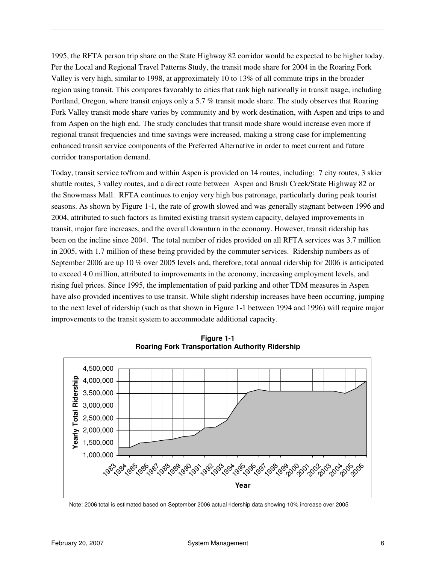1995, the RFTA person trip share on the State Highway 82 corridor would be expected to be higher today. Per the Local and Regional Travel Patterns Study, the transit mode share for 2004 in the Roaring Fork Valley is very high, similar to 1998, at approximately 10 to 13% of all commute trips in the broader region using transit. This compares favorably to cities that rank high nationally in transit usage, including Portland, Oregon, where transit enjoys only a 5.7 % transit mode share. The study observes that Roaring Fork Valley transit mode share varies by community and by work destination, with Aspen and trips to and from Aspen on the high end. The study concludes that transit mode share would increase even more if regional transit frequencies and time savings were increased, making a strong case for implementing enhanced transit service components of the Preferred Alternative in order to meet current and future corridor transportation demand.

Today, transit service to/from and within Aspen is provided on 14 routes, including: 7 city routes, 3 skier shuttle routes, 3 valley routes, and a direct route between Aspen and Brush Creek/State Highway 82 or the Snowmass Mall. RFTA continues to enjoy very high bus patronage, particularly during peak tourist seasons. As shown by Figure 1-1, the rate of growth slowed and was generally stagnant between 1996 and 2004, attributed to such factors as limited existing transit system capacity, delayed improvements in transit, major fare increases, and the overall downturn in the economy. However, transit ridership has been on the incline since 2004. The total number of rides provided on all RFTA services was 3.7 million in 2005, with 1.7 million of these being provided by the commuter services. Ridership numbers as of September 2006 are up 10 % over 2005 levels and, therefore, total annual ridership for 2006 is anticipated to exceed 4.0 million, attributed to improvements in the economy, increasing employment levels, and rising fuel prices. Since 1995, the implementation of paid parking and other TDM measures in Aspen have also provided incentives to use transit. While slight ridership increases have been occurring, jumping to the next level of ridership (such as that shown in Figure 1-1 between 1994 and 1996) will require major improvements to the transit system to accommodate additional capacity.



**Figure 1-1 Roaring Fork Transportation Authority Ridership** 

Note: 2006 total is estimated based on September 2006 actual ridership data showing 10% increase over 2005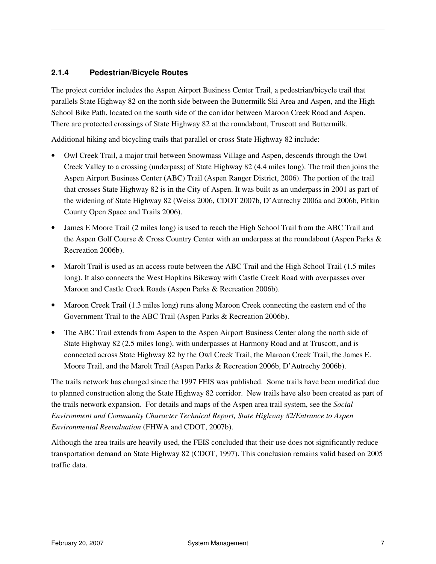#### **2.1.4 Pedestrian/Bicycle Routes**

The project corridor includes the Aspen Airport Business Center Trail, a pedestrian/bicycle trail that parallels State Highway 82 on the north side between the Buttermilk Ski Area and Aspen, and the High School Bike Path, located on the south side of the corridor between Maroon Creek Road and Aspen. There are protected crossings of State Highway 82 at the roundabout, Truscott and Buttermilk.

Additional hiking and bicycling trails that parallel or cross State Highway 82 include:

- Owl Creek Trail, a major trail between Snowmass Village and Aspen, descends through the Owl Creek Valley to a crossing (underpass) of State Highway 82 (4.4 miles long). The trail then joins the Aspen Airport Business Center (ABC) Trail (Aspen Ranger District, 2006). The portion of the trail that crosses State Highway 82 is in the City of Aspen. It was built as an underpass in 2001 as part of the widening of State Highway 82 (Weiss 2006, CDOT 2007b, D'Autrechy 2006a and 2006b, Pitkin County Open Space and Trails 2006).
- James E Moore Trail (2 miles long) is used to reach the High School Trail from the ABC Trail and the Aspen Golf Course & Cross Country Center with an underpass at the roundabout (Aspen Parks & Recreation 2006b).
- Marolt Trail is used as an access route between the ABC Trail and the High School Trail (1.5 miles long). It also connects the West Hopkins Bikeway with Castle Creek Road with overpasses over Maroon and Castle Creek Roads (Aspen Parks & Recreation 2006b).
- Maroon Creek Trail (1.3 miles long) runs along Maroon Creek connecting the eastern end of the Government Trail to the ABC Trail (Aspen Parks & Recreation 2006b).
- The ABC Trail extends from Aspen to the Aspen Airport Business Center along the north side of State Highway 82 (2.5 miles long), with underpasses at Harmony Road and at Truscott, and is connected across State Highway 82 by the Owl Creek Trail, the Maroon Creek Trail, the James E. Moore Trail, and the Marolt Trail (Aspen Parks & Recreation 2006b, D'Autrechy 2006b).

The trails network has changed since the 1997 FEIS was published. Some trails have been modified due to planned construction along the State Highway 82 corridor. New trails have also been created as part of the trails network expansion. For details and maps of the Aspen area trail system, see the *Social Environment and Community Character Technical Report, State Highway 82/Entrance to Aspen Environmental Reevaluation* (FHWA and CDOT, 2007b).

Although the area trails are heavily used, the FEIS concluded that their use does not significantly reduce transportation demand on State Highway 82 (CDOT, 1997). This conclusion remains valid based on 2005 traffic data.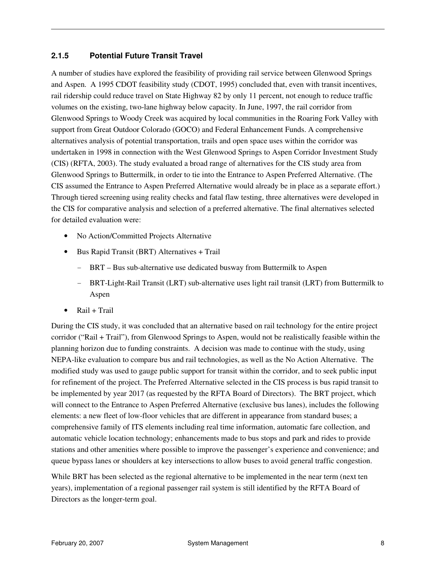#### **2.1.5 Potential Future Transit Travel**

A number of studies have explored the feasibility of providing rail service between Glenwood Springs and Aspen. A 1995 CDOT feasibility study (CDOT, 1995) concluded that, even with transit incentives, rail ridership could reduce travel on State Highway 82 by only 11 percent, not enough to reduce traffic volumes on the existing, two-lane highway below capacity. In June, 1997, the rail corridor from Glenwood Springs to Woody Creek was acquired by local communities in the Roaring Fork Valley with support from Great Outdoor Colorado (GOCO) and Federal Enhancement Funds. A comprehensive alternatives analysis of potential transportation, trails and open space uses within the corridor was undertaken in 1998 in connection with the West Glenwood Springs to Aspen Corridor Investment Study (CIS) (RFTA, 2003). The study evaluated a broad range of alternatives for the CIS study area from Glenwood Springs to Buttermilk, in order to tie into the Entrance to Aspen Preferred Alternative. (The CIS assumed the Entrance to Aspen Preferred Alternative would already be in place as a separate effort.) Through tiered screening using reality checks and fatal flaw testing, three alternatives were developed in the CIS for comparative analysis and selection of a preferred alternative. The final alternatives selected for detailed evaluation were:

- No Action/Committed Projects Alternative
- Bus Rapid Transit (BRT) Alternatives + Trail
	- BRT Bus sub-alternative use dedicated busway from Buttermilk to Aspen
	- BRT-Light-Rail Transit (LRT) sub-alternative uses light rail transit (LRT) from Buttermilk to Aspen
- $\bullet$  Rail + Trail

During the CIS study, it was concluded that an alternative based on rail technology for the entire project corridor ("Rail + Trail"), from Glenwood Springs to Aspen, would not be realistically feasible within the planning horizon due to funding constraints. A decision was made to continue with the study, using NEPA-like evaluation to compare bus and rail technologies, as well as the No Action Alternative. The modified study was used to gauge public support for transit within the corridor, and to seek public input for refinement of the project. The Preferred Alternative selected in the CIS process is bus rapid transit to be implemented by year 2017 (as requested by the RFTA Board of Directors). The BRT project, which will connect to the Entrance to Aspen Preferred Alternative (exclusive bus lanes), includes the following elements: a new fleet of low-floor vehicles that are different in appearance from standard buses; a comprehensive family of ITS elements including real time information, automatic fare collection, and automatic vehicle location technology; enhancements made to bus stops and park and rides to provide stations and other amenities where possible to improve the passenger's experience and convenience; and queue bypass lanes or shoulders at key intersections to allow buses to avoid general traffic congestion.

While BRT has been selected as the regional alternative to be implemented in the near term (next ten years), implementation of a regional passenger rail system is still identified by the RFTA Board of Directors as the longer-term goal.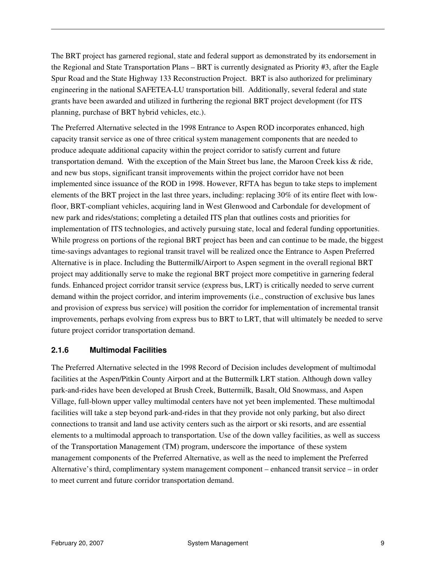The BRT project has garnered regional, state and federal support as demonstrated by its endorsement in the Regional and State Transportation Plans – BRT is currently designated as Priority #3, after the Eagle Spur Road and the State Highway 133 Reconstruction Project. BRT is also authorized for preliminary engineering in the national SAFETEA-LU transportation bill. Additionally, several federal and state grants have been awarded and utilized in furthering the regional BRT project development (for ITS planning, purchase of BRT hybrid vehicles, etc.).

The Preferred Alternative selected in the 1998 Entrance to Aspen ROD incorporates enhanced, high capacity transit service as one of three critical system management components that are needed to produce adequate additional capacity within the project corridor to satisfy current and future transportation demand. With the exception of the Main Street bus lane, the Maroon Creek kiss & ride, and new bus stops, significant transit improvements within the project corridor have not been implemented since issuance of the ROD in 1998. However, RFTA has begun to take steps to implement elements of the BRT project in the last three years, including: replacing 30% of its entire fleet with lowfloor, BRT-compliant vehicles, acquiring land in West Glenwood and Carbondale for development of new park and rides/stations; completing a detailed ITS plan that outlines costs and priorities for implementation of ITS technologies, and actively pursuing state, local and federal funding opportunities. While progress on portions of the regional BRT project has been and can continue to be made, the biggest time-savings advantages to regional transit travel will be realized once the Entrance to Aspen Preferred Alternative is in place. Including the Buttermilk/Airport to Aspen segment in the overall regional BRT project may additionally serve to make the regional BRT project more competitive in garnering federal funds. Enhanced project corridor transit service (express bus, LRT) is critically needed to serve current demand within the project corridor, and interim improvements (i.e., construction of exclusive bus lanes and provision of express bus service) will position the corridor for implementation of incremental transit improvements, perhaps evolving from express bus to BRT to LRT, that will ultimately be needed to serve future project corridor transportation demand.

#### **2.1.6 Multimodal Facilities**

The Preferred Alternative selected in the 1998 Record of Decision includes development of multimodal facilities at the Aspen/Pitkin County Airport and at the Buttermilk LRT station. Although down valley park-and-rides have been developed at Brush Creek, Buttermilk, Basalt, Old Snowmass, and Aspen Village, full-blown upper valley multimodal centers have not yet been implemented. These multimodal facilities will take a step beyond park-and-rides in that they provide not only parking, but also direct connections to transit and land use activity centers such as the airport or ski resorts, and are essential elements to a multimodal approach to transportation. Use of the down valley facilities, as well as success of the Transportation Management (TM) program, underscore the importance of these system management components of the Preferred Alternative, as well as the need to implement the Preferred Alternative's third, complimentary system management component – enhanced transit service – in order to meet current and future corridor transportation demand.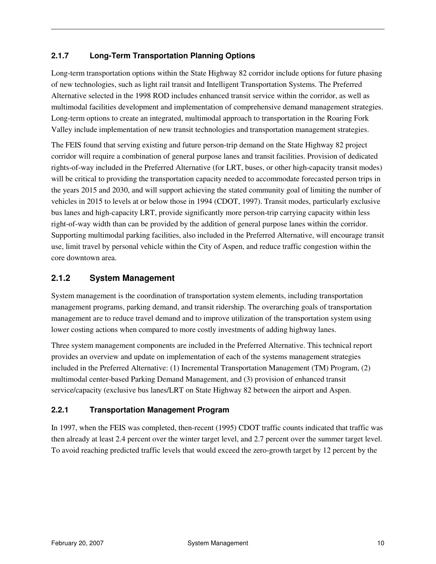#### **2.1.7 Long-Term Transportation Planning Options**

Long-term transportation options within the State Highway 82 corridor include options for future phasing of new technologies, such as light rail transit and Intelligent Transportation Systems. The Preferred Alternative selected in the 1998 ROD includes enhanced transit service within the corridor, as well as multimodal facilities development and implementation of comprehensive demand management strategies. Long-term options to create an integrated, multimodal approach to transportation in the Roaring Fork Valley include implementation of new transit technologies and transportation management strategies.

The FEIS found that serving existing and future person-trip demand on the State Highway 82 project corridor will require a combination of general purpose lanes and transit facilities. Provision of dedicated rights-of-way included in the Preferred Alternative (for LRT, buses, or other high-capacity transit modes) will be critical to providing the transportation capacity needed to accommodate forecasted person trips in the years 2015 and 2030, and will support achieving the stated community goal of limiting the number of vehicles in 2015 to levels at or below those in 1994 (CDOT, 1997). Transit modes, particularly exclusive bus lanes and high-capacity LRT, provide significantly more person-trip carrying capacity within less right-of-way width than can be provided by the addition of general purpose lanes within the corridor. Supporting multimodal parking facilities, also included in the Preferred Alternative, will encourage transit use, limit travel by personal vehicle within the City of Aspen, and reduce traffic congestion within the core downtown area.

#### **2.1.2 System Management**

System management is the coordination of transportation system elements, including transportation management programs, parking demand, and transit ridership. The overarching goals of transportation management are to reduce travel demand and to improve utilization of the transportation system using lower costing actions when compared to more costly investments of adding highway lanes.

Three system management components are included in the Preferred Alternative. This technical report provides an overview and update on implementation of each of the systems management strategies included in the Preferred Alternative: (1) Incremental Transportation Management (TM) Program, (2) multimodal center-based Parking Demand Management, and (3) provision of enhanced transit service/capacity (exclusive bus lanes/LRT on State Highway 82 between the airport and Aspen.

#### **2.2.1 Transportation Management Program**

In 1997, when the FEIS was completed, then-recent (1995) CDOT traffic counts indicated that traffic was then already at least 2.4 percent over the winter target level, and 2.7 percent over the summer target level. To avoid reaching predicted traffic levels that would exceed the zero-growth target by 12 percent by the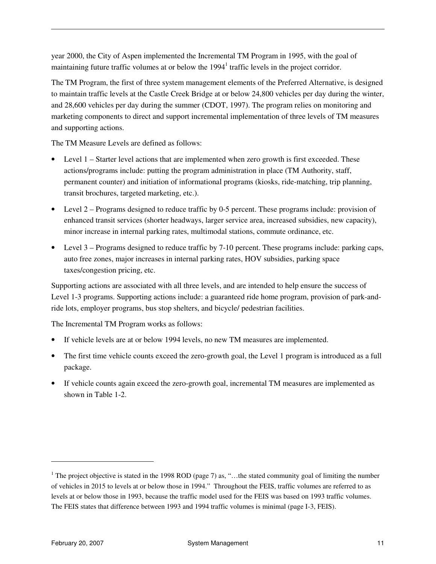year 2000, the City of Aspen implemented the Incremental TM Program in 1995, with the goal of maintaining future traffic volumes at or below the 1994<sup>1</sup> traffic levels in the project corridor.

The TM Program, the first of three system management elements of the Preferred Alternative, is designed to maintain traffic levels at the Castle Creek Bridge at or below 24,800 vehicles per day during the winter, and 28,600 vehicles per day during the summer (CDOT, 1997). The program relies on monitoring and marketing components to direct and support incremental implementation of three levels of TM measures and supporting actions.

The TM Measure Levels are defined as follows:

- Level 1 Starter level actions that are implemented when zero growth is first exceeded. These actions/programs include: putting the program administration in place (TM Authority, staff, permanent counter) and initiation of informational programs (kiosks, ride-matching, trip planning, transit brochures, targeted marketing, etc.).
- Level 2 Programs designed to reduce traffic by 0-5 percent. These programs include: provision of enhanced transit services (shorter headways, larger service area, increased subsidies, new capacity), minor increase in internal parking rates, multimodal stations, commute ordinance, etc.
- Level 3 Programs designed to reduce traffic by 7-10 percent. These programs include: parking caps, auto free zones, major increases in internal parking rates, HOV subsidies, parking space taxes/congestion pricing, etc.

Supporting actions are associated with all three levels, and are intended to help ensure the success of Level 1-3 programs. Supporting actions include: a guaranteed ride home program, provision of park-andride lots, employer programs, bus stop shelters, and bicycle/ pedestrian facilities.

The Incremental TM Program works as follows:

- If vehicle levels are at or below 1994 levels, no new TM measures are implemented.
- The first time vehicle counts exceed the zero-growth goal, the Level 1 program is introduced as a full package.
- If vehicle counts again exceed the zero-growth goal, incremental TM measures are implemented as shown in Table 1-2.

 $\ddot{ }$ 

<sup>&</sup>lt;sup>1</sup> The project objective is stated in the 1998 ROD (page 7) as, "...the stated community goal of limiting the number of vehicles in 2015 to levels at or below those in 1994." Throughout the FEIS, traffic volumes are referred to as levels at or below those in 1993, because the traffic model used for the FEIS was based on 1993 traffic volumes. The FEIS states that difference between 1993 and 1994 traffic volumes is minimal (page I-3, FEIS).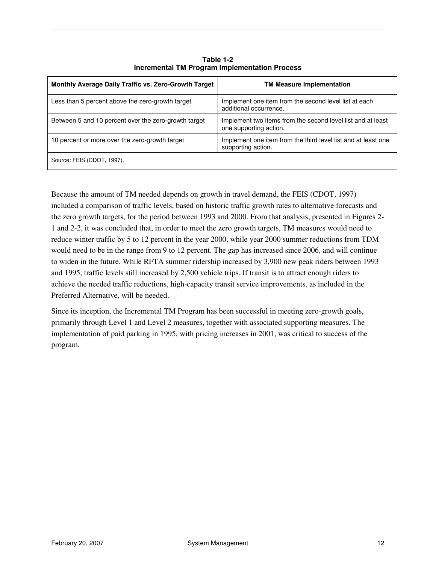| Monthly Average Daily Traffic vs. Zero-Growth Target | <b>TM Measure Implementation</b>                                                      |
|------------------------------------------------------|---------------------------------------------------------------------------------------|
| Less than 5 percent above the zero-growth target     | Implement one item from the second level list at each<br>additional occurrence.       |
| Between 5 and 10 percent over the zero-growth target | Implement two items from the second level list and at least<br>one supporting action. |
| 10 percent or more over the zero-growth target       | Implement one item from the third level list and at least one<br>supporting action.   |
| Source: FEIS (CDOT, 1997).                           |                                                                                       |

**Table 1-2 Incremental TM Program Implementation Process** 

Because the amount of TM needed depends on growth in travel demand, the FEIS (CDOT, 1997) included a comparison of traffic levels, based on historic traffic growth rates to alternative forecasts and the zero growth targets, for the period between 1993 and 2000. From that analysis, presented in Figures 2- 1 and 2-2, it was concluded that, in order to meet the zero growth targets, TM measures would need to reduce winter traffic by 5 to 12 percent in the year 2000, while year 2000 summer reductions from TDM would need to be in the range from 9 to 12 percent. The gap has increased since 2006, and will continue to widen in the future. While RFTA summer ridership increased by 3,900 new peak riders between 1993 and 1995, traffic levels still increased by 2,500 vehicle trips. If transit is to attract enough riders to achieve the needed traffic reductions, high-capacity transit service improvements, as included in the Preferred Alternative, will be needed.

Since its inception, the Incremental TM Program has been successful in meeting zero-growth goals, primarily through Level 1 and Level 2 measures, together with associated supporting measures. The implementation of paid parking in 1995, with pricing increases in 2001, was critical to success of the program.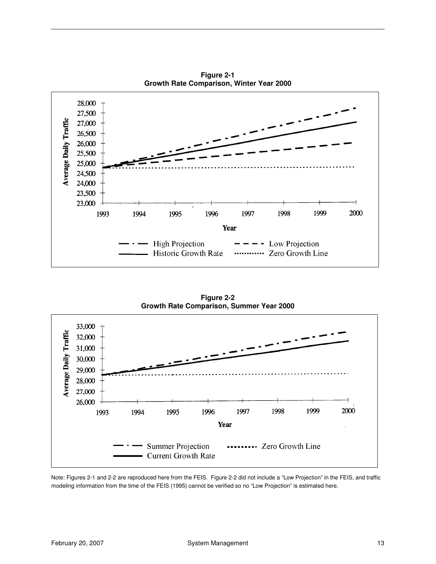

**Figure 2-1 Growth Rate Comparison, Winter Year 2000** 

**Figure 2-2 Growth Rate Comparison, Summer Year 2000** 



Note: Figures 2-1 and 2-2 are reproduced here from the FEIS. Figure 2-2 did not include a "Low Projection" in the FEIS, and traffic modeling information from the time of the FEIS (1995) cannot be verified so no "Low Projection" is estimated here.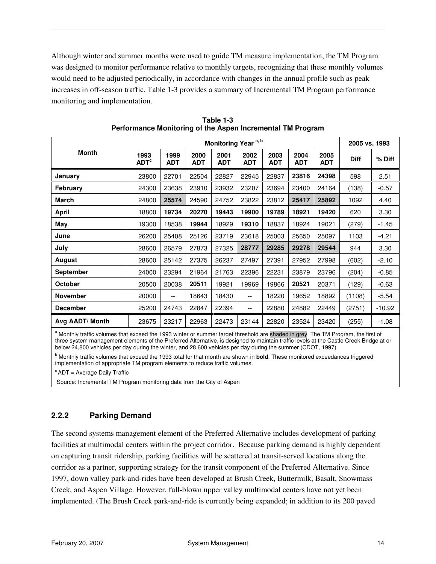Although winter and summer months were used to guide TM measure implementation, the TM Program was designed to monitor performance relative to monthly targets, recognizing that these monthly volumes would need to be adjusted periodically, in accordance with changes in the annual profile such as peak increases in off-season traffic. Table 1-3 provides a summary of Incremental TM Program performance monitoring and implementation.

|                  | Monitoring Year <sup>a, b</sup>   |                          |                    |                    |                          |                    |                    | 2005 vs. 1993      |             |          |
|------------------|-----------------------------------|--------------------------|--------------------|--------------------|--------------------------|--------------------|--------------------|--------------------|-------------|----------|
| <b>Month</b>     | 1993<br>$\mathsf{ADT}^\mathsf{c}$ | 1999<br><b>ADT</b>       | 2000<br><b>ADT</b> | 2001<br><b>ADT</b> | 2002<br><b>ADT</b>       | 2003<br><b>ADT</b> | 2004<br><b>ADT</b> | 2005<br><b>ADT</b> | <b>Diff</b> | % Diff   |
| January          | 23800                             | 22701                    | 22504              | 22827              | 22945                    | 22837              | 23816              | 24398              | 598         | 2.51     |
| February         | 24300                             | 23638                    | 23910              | 23932              | 23207                    | 23694              | 23400              | 24164              | (138)       | $-0.57$  |
| <b>March</b>     | 24800                             | 25574                    | 24590              | 24752              | 23822                    | 23812              | 25417              | 25892              | 1092        | 4.40     |
| April            | 18800                             | 19734                    | 20270              | 19443              | 19900                    | 19789              | 18921              | 19420              | 620         | 3.30     |
| May              | 19300                             | 18538                    | 19944              | 18929              | 19310                    | 18837              | 18924              | 19021              | (279)       | $-1.45$  |
| June             | 26200                             | 25408                    | 25126              | 23719              | 23618                    | 25003              | 25650              | 25097              | 1103        | $-4.21$  |
| July             | 28600                             | 26579                    | 27873              | 27325              | 28777                    | 29285              | 29278              | 29544              | 944         | 3.30     |
| August           | 28600                             | 25142                    | 27375              | 26237              | 27497                    | 27391              | 27952              | 27998              | (602)       | $-2.10$  |
| <b>September</b> | 24000                             | 23294                    | 21964              | 21763              | 22396                    | 22231              | 23879              | 23796              | (204)       | $-0.85$  |
| <b>October</b>   | 20500                             | 20038                    | 20511              | 19921              | 19969                    | 19866              | 20521              | 20371              | (129)       | $-0.63$  |
| <b>November</b>  | 20000                             | $\overline{\phantom{a}}$ | 18643              | 18430              | $\overline{\phantom{a}}$ | 18220              | 19652              | 18892              | (1108)      | $-5.54$  |
| <b>December</b>  | 25200                             | 24743                    | 22847              | 22394              | $\overline{\phantom{a}}$ | 22880              | 24882              | 22449              | (2751)      | $-10.92$ |
| Avg AADT/ Month  | 23675                             | 23217                    | 22963              | 22473              | 23144                    | 22820              | 23524              | 23420              | (255)       | $-1.08$  |

**Table 1-3 Performance Monitoring of the Aspen Incremental TM Program** 

a Monthly traffic volumes that exceed the 1993 winter or summer target threshold are shaded in grey. The TM Program, the first of three system management elements of the Preferred Alternative, is designed to maintain traffic levels at the Castle Creek Bridge at or below 24,800 vehicles per day during the winter, and 28,600 vehicles per day during the summer (CDOT, 1997).

b Monthly traffic volumes that exceed the 1993 total for that month are shown in **bold**. These monitored exceedances triggered implementation of appropriate TM program elements to reduce traffic volumes.

 $c$ ADT = Average Daily Traffic

Source: Incremental TM Program monitoring data from the City of Aspen

#### **2.2.2 Parking Demand**

The second systems management element of the Preferred Alternative includes development of parking facilities at multimodal centers within the project corridor. Because parking demand is highly dependent on capturing transit ridership, parking facilities will be scattered at transit-served locations along the corridor as a partner, supporting strategy for the transit component of the Preferred Alternative. Since 1997, down valley park-and-rides have been developed at Brush Creek, Buttermilk, Basalt, Snowmass Creek, and Aspen Village. However, full-blown upper valley multimodal centers have not yet been implemented. (The Brush Creek park-and-ride is currently being expanded; in addition to its 200 paved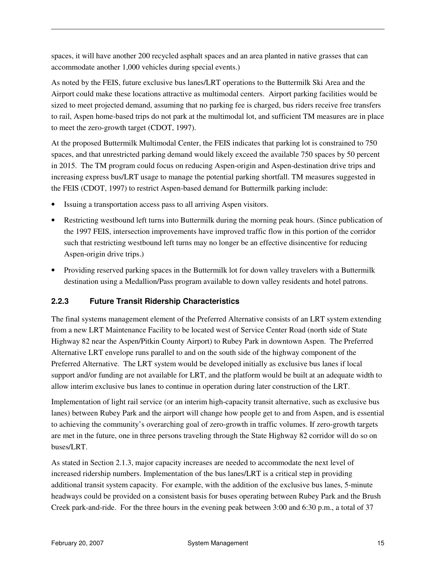spaces, it will have another 200 recycled asphalt spaces and an area planted in native grasses that can accommodate another 1,000 vehicles during special events.)

As noted by the FEIS, future exclusive bus lanes/LRT operations to the Buttermilk Ski Area and the Airport could make these locations attractive as multimodal centers. Airport parking facilities would be sized to meet projected demand, assuming that no parking fee is charged, bus riders receive free transfers to rail, Aspen home-based trips do not park at the multimodal lot, and sufficient TM measures are in place to meet the zero-growth target (CDOT, 1997).

At the proposed Buttermilk Multimodal Center, the FEIS indicates that parking lot is constrained to 750 spaces, and that unrestricted parking demand would likely exceed the available 750 spaces by 50 percent in 2015. The TM program could focus on reducing Aspen-origin and Aspen-destination drive trips and increasing express bus/LRT usage to manage the potential parking shortfall. TM measures suggested in the FEIS (CDOT, 1997) to restrict Aspen-based demand for Buttermilk parking include:

- Issuing a transportation access pass to all arriving Aspen visitors.
- Restricting westbound left turns into Buttermilk during the morning peak hours. (Since publication of the 1997 FEIS, intersection improvements have improved traffic flow in this portion of the corridor such that restricting westbound left turns may no longer be an effective disincentive for reducing Aspen-origin drive trips.)
- Providing reserved parking spaces in the Buttermilk lot for down valley travelers with a Buttermilk destination using a Medallion/Pass program available to down valley residents and hotel patrons.

#### **2.2.3 Future Transit Ridership Characteristics**

The final systems management element of the Preferred Alternative consists of an LRT system extending from a new LRT Maintenance Facility to be located west of Service Center Road (north side of State Highway 82 near the Aspen/Pitkin County Airport) to Rubey Park in downtown Aspen. The Preferred Alternative LRT envelope runs parallel to and on the south side of the highway component of the Preferred Alternative. The LRT system would be developed initially as exclusive bus lanes if local support and/or funding are not available for LRT, and the platform would be built at an adequate width to allow interim exclusive bus lanes to continue in operation during later construction of the LRT.

Implementation of light rail service (or an interim high-capacity transit alternative, such as exclusive bus lanes) between Rubey Park and the airport will change how people get to and from Aspen, and is essential to achieving the community's overarching goal of zero-growth in traffic volumes. If zero-growth targets are met in the future, one in three persons traveling through the State Highway 82 corridor will do so on buses/LRT.

As stated in Section 2.1.3, major capacity increases are needed to accommodate the next level of increased ridership numbers. Implementation of the bus lanes/LRT is a critical step in providing additional transit system capacity. For example, with the addition of the exclusive bus lanes, 5-minute headways could be provided on a consistent basis for buses operating between Rubey Park and the Brush Creek park-and-ride. For the three hours in the evening peak between 3:00 and 6:30 p.m., a total of 37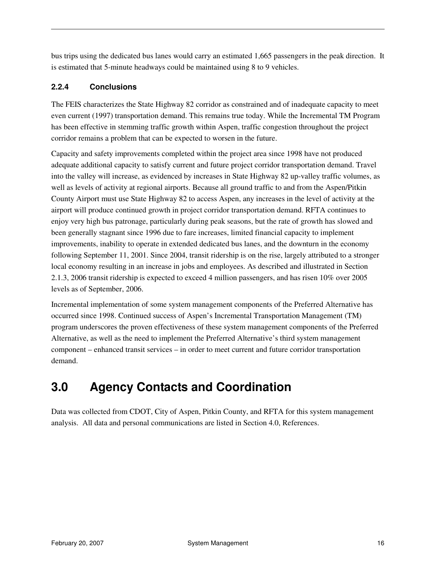bus trips using the dedicated bus lanes would carry an estimated 1,665 passengers in the peak direction. It is estimated that 5-minute headways could be maintained using 8 to 9 vehicles.

#### **2.2.4 Conclusions**

The FEIS characterizes the State Highway 82 corridor as constrained and of inadequate capacity to meet even current (1997) transportation demand. This remains true today. While the Incremental TM Program has been effective in stemming traffic growth within Aspen, traffic congestion throughout the project corridor remains a problem that can be expected to worsen in the future.

Capacity and safety improvements completed within the project area since 1998 have not produced adequate additional capacity to satisfy current and future project corridor transportation demand. Travel into the valley will increase, as evidenced by increases in State Highway 82 up-valley traffic volumes, as well as levels of activity at regional airports. Because all ground traffic to and from the Aspen/Pitkin County Airport must use State Highway 82 to access Aspen, any increases in the level of activity at the airport will produce continued growth in project corridor transportation demand. RFTA continues to enjoy very high bus patronage, particularly during peak seasons, but the rate of growth has slowed and been generally stagnant since 1996 due to fare increases, limited financial capacity to implement improvements, inability to operate in extended dedicated bus lanes, and the downturn in the economy following September 11, 2001. Since 2004, transit ridership is on the rise, largely attributed to a stronger local economy resulting in an increase in jobs and employees. As described and illustrated in Section 2.1.3, 2006 transit ridership is expected to exceed 4 million passengers, and has risen 10% over 2005 levels as of September, 2006.

Incremental implementation of some system management components of the Preferred Alternative has occurred since 1998. Continued success of Aspen's Incremental Transportation Management (TM) program underscores the proven effectiveness of these system management components of the Preferred Alternative, as well as the need to implement the Preferred Alternative's third system management component – enhanced transit services – in order to meet current and future corridor transportation demand.

### **3.0 Agency Contacts and Coordination**

Data was collected from CDOT, City of Aspen, Pitkin County, and RFTA for this system management analysis. All data and personal communications are listed in Section 4.0, References.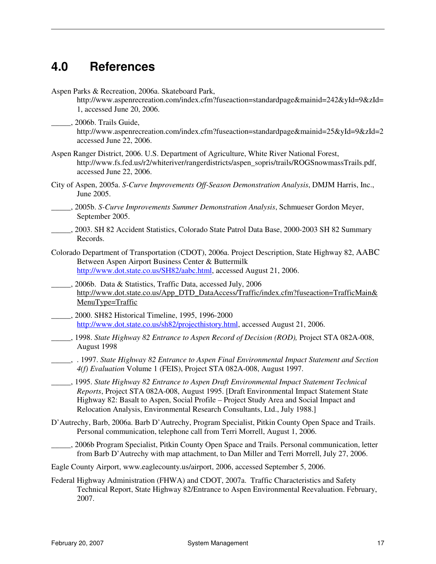# **4.0 References**

| Aspen Parks & Recreation, 2006a. Skateboard Park,<br>http://www.aspenrecreation.com/index.cfm?fuseaction=standardpage&mainid=242&yId=9&zId=<br>1, accessed June 20, 2006.                                                                                                                                                                                        |
|------------------------------------------------------------------------------------------------------------------------------------------------------------------------------------------------------------------------------------------------------------------------------------------------------------------------------------------------------------------|
| ., 2006b. Trails Guide,<br>http://www.aspenrecreation.com/index.cfm?fuseaction=standardpage&mainid=25&yId=9&zId=2<br>accessed June 22, 2006.                                                                                                                                                                                                                     |
| Aspen Ranger District, 2006. U.S. Department of Agriculture, White River National Forest,<br>http://www.fs.fed.us/r2/whiteriver/rangerdistricts/aspen_sopris/trails/ROGSnowmassTrails.pdf,<br>accessed June 22, 2006.                                                                                                                                            |
| City of Aspen, 2005a. S-Curve Improvements Off-Season Demonstration Analysis, DMJM Harris, Inc.,<br>June 2005.                                                                                                                                                                                                                                                   |
| ____, 2005b. S-Curve Improvements Summer Demonstration Analysis, Schmueser Gordon Meyer,<br>September 2005.                                                                                                                                                                                                                                                      |
| 2003. SH 82 Accident Statistics, Colorado State Patrol Data Base, 2000-2003 SH 82 Summary<br>Records.                                                                                                                                                                                                                                                            |
| Colorado Department of Transportation (CDOT), 2006a. Project Description, State Highway 82, AABC<br>Between Aspen Airport Business Center & Buttermilk<br>http://www.dot.state.co.us/SH82/aabc.html, accessed August 21, 2006.                                                                                                                                   |
| __, 2006b. Data & Statistics, Traffic Data, accessed July, 2006<br>http://www.dot.state.co.us/App_DTD_DataAccess/Traffic/index.cfm?fuseaction=TrafficMain&<br>MenuType=Traffic                                                                                                                                                                                   |
| 2000. SH82 Historical Timeline, 1995, 1996-2000<br>http://www.dot.state.co.us/sh82/projecthistory.html, accessed August 21, 2006.                                                                                                                                                                                                                                |
| ____, 1998. State Highway 82 Entrance to Aspen Record of Decision (ROD), Project STA 082A-008,<br>August 1998                                                                                                                                                                                                                                                    |
| 4(f) Evaluation Volume 1 (FEIS), Project STA 082A-008, August 1997.                                                                                                                                                                                                                                                                                              |
| ____, 1995. State Highway 82 Entrance to Aspen Draft Environmental Impact Statement Technical<br>Reports, Project STA 082A-008, August 1995. [Draft Environmental Impact Statement State<br>Highway 82: Basalt to Aspen, Social Profile – Project Study Area and Social Impact and<br>Relocation Analysis, Environmental Research Consultants, Ltd., July 1988.] |
| D'Autrechy, Barb, 2006a. Barb D'Autrechy, Program Specialist, Pitkin County Open Space and Trails.<br>Personal communication, telephone call from Terri Morrell, August 1, 2006.                                                                                                                                                                                 |
| 2006b Program Specialist, Pitkin County Open Space and Trails. Personal communication, letter<br>from Barb D'Autrechy with map attachment, to Dan Miller and Terri Morrell, July 27, 2006.                                                                                                                                                                       |
| Eagle County Airport, www.eaglecounty.us/airport, 2006, accessed September 5, 2006.                                                                                                                                                                                                                                                                              |
| Federal Highway Administration (FHWA) and CDOT, 2007a. Traffic Characteristics and Safety<br>Technical Report, State Highway 82/Entrance to Aspen Environmental Reevaluation. February,<br>2007.                                                                                                                                                                 |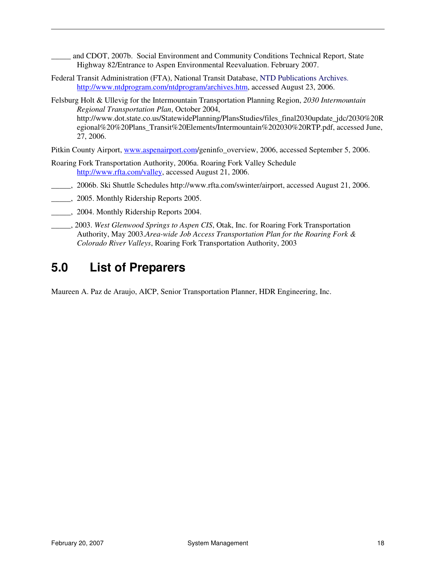and CDOT, 2007b. Social Environment and Community Conditions Technical Report, State Highway 82/Entrance to Aspen Environmental Reevaluation. February 2007.

- Federal Transit Administration (FTA), National Transit Database, NTD Publications Archives. http://www.ntdprogram.com/ntdprogram/archives.htm, accessed August 23, 2006.
- Felsburg Holt & Ullevig for the Intermountain Transportation Planning Region, *2030 Intermountain Regional Transportation Plan*, October 2004, http://www.dot.state.co.us/StatewidePlanning/PlansStudies/files\_final2030update\_jdc/2030%20R egional%20%20Plans\_Transit%20Elements/Intermountain%202030%20RTP.pdf, accessed June, 27, 2006.

Pitkin County Airport, www.aspenairport.com/geninfo\_overview, 2006, accessed September 5, 2006.

- Roaring Fork Transportation Authority, 2006a. Roaring Fork Valley Schedule http://www.rfta.com/valley, accessed August 21, 2006.
	- \_\_\_\_\_, 2006b. Ski Shuttle Schedules http://www.rfta.com/swinter/airport, accessed August 21, 2006.
- \_\_\_\_\_, 2005. Monthly Ridership Reports 2005.
- \_\_\_\_\_, 2004. Monthly Ridership Reports 2004.
- \_\_\_\_\_, 2003. *West Glenwood Springs to Aspen CIS*, Otak, Inc. for Roaring Fork Transportation Authority, May 2003.*Area-wide Job Access Transportation Plan for the Roaring Fork & Colorado River Valleys*, Roaring Fork Transportation Authority, 2003

### **5.0 List of Preparers**

Maureen A. Paz de Araujo, AICP, Senior Transportation Planner, HDR Engineering, Inc.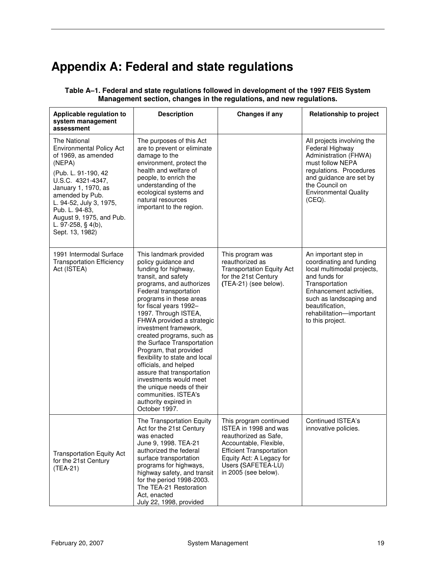# **Appendix A: Federal and state regulations**

| Applicable regulation to<br>system management<br>assessment                                                                                                                                                                                                                              | <b>Description</b>                                                                                                                                                                                                                                                                                                                                                                                                                                                                                                                                                                          | Changes if any                                                                                                                                                                                                  | <b>Relationship to project</b>                                                                                                                                                                                                             |  |
|------------------------------------------------------------------------------------------------------------------------------------------------------------------------------------------------------------------------------------------------------------------------------------------|---------------------------------------------------------------------------------------------------------------------------------------------------------------------------------------------------------------------------------------------------------------------------------------------------------------------------------------------------------------------------------------------------------------------------------------------------------------------------------------------------------------------------------------------------------------------------------------------|-----------------------------------------------------------------------------------------------------------------------------------------------------------------------------------------------------------------|--------------------------------------------------------------------------------------------------------------------------------------------------------------------------------------------------------------------------------------------|--|
| The National<br><b>Environmental Policy Act</b><br>of 1969, as amended<br>(NEPA)<br>(Pub. L. 91-190, 42<br>U.S.C. 4321-4347,<br>January 1, 1970, as<br>amended by Pub.<br>L. 94-52, July 3, 1975,<br>Pub. L. 94-83,<br>August 9, 1975, and Pub.<br>L. 97-258, § 4(b),<br>Sept. 13, 1982) | The purposes of this Act<br>are to prevent or eliminate<br>damage to the<br>environment, protect the<br>health and welfare of<br>people, to enrich the<br>understanding of the<br>ecological systems and<br>natural resources<br>important to the region.                                                                                                                                                                                                                                                                                                                                   |                                                                                                                                                                                                                 | All projects involving the<br>Federal Highway<br>Administration (FHWA)<br>must follow NEPA<br>regulations. Procedures<br>and guidance are set by<br>the Council on<br><b>Environmental Quality</b><br>(CEQ).                               |  |
| 1991 Intermodal Surface<br><b>Transportation Efficiency</b><br>Act (ISTEA)                                                                                                                                                                                                               | This landmark provided<br>policy guidance and<br>funding for highway,<br>transit, and safety<br>programs, and authorizes<br>Federal transportation<br>programs in these areas<br>for fiscal years 1992-<br>1997. Through ISTEA,<br>FHWA provided a strategic<br>investment framework,<br>created programs, such as<br>the Surface Transportation<br>Program, that provided<br>flexibility to state and local<br>officials, and helped<br>assure that transportation<br>investments would meet<br>the unique needs of their<br>communities. ISTEA's<br>authority expired in<br>October 1997. | This program was<br>reauthorized as<br><b>Transportation Equity Act</b><br>for the 21st Century<br>(TEA-21) (see below).                                                                                        | An important step in<br>coordinating and funding<br>local multimodal projects,<br>and funds for<br>Transportation<br>Enhancement activities,<br>such as landscaping and<br>beautification,<br>rehabilitation-important<br>to this project. |  |
| <b>Transportation Equity Act</b><br>for the 21st Century<br>(TEA-21)                                                                                                                                                                                                                     | The Transportation Equity<br>Act for the 21st Century<br>was enacted<br>June 9, 1998. TEA-21<br>authorized the federal<br>surface transportation<br>programs for highways,<br>highway safety, and transit<br>for the period 1998-2003.<br>The TEA-21 Restoration<br>Act, enacted<br>July 22, 1998, provided                                                                                                                                                                                                                                                                                 | This program continued<br>ISTEA in 1998 and was<br>reauthorized as Safe,<br>Accountable, Flexible,<br><b>Efficient Transportation</b><br>Equity Act: A Legacy for<br>Users (SAFETEA-LU)<br>in 2005 (see below). | <b>Continued ISTEA's</b><br>innovative policies.                                                                                                                                                                                           |  |

**Table A–1. Federal and state regulations followed in development of the 1997 FEIS System Management section, changes in the regulations, and new regulations.**